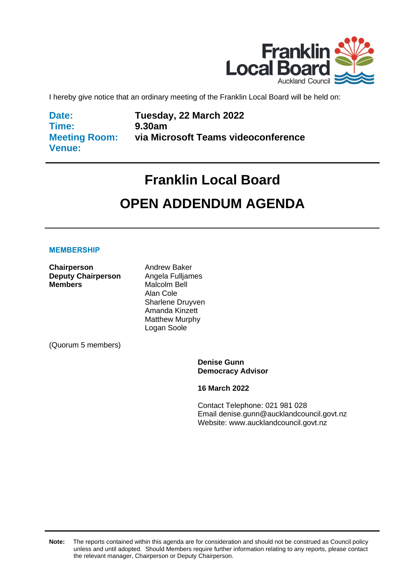

I hereby give notice that an ordinary meeting of the Franklin Local Board will be held on:

**Date: Time: Meeting Room: Venue:**

**Tuesday, 22 March 2022 9.30am via Microsoft Teams videoconference**

# **Franklin Local Board OPEN ADDENDUM AGENDA**

#### **MEMBERSHIP**

**Chairperson** Andrew Baker **Deputy Chairperson** Angela Fulljames<br> **Members** Malcolm Bell

Malcolm Bell Alan Cole Sharlene Druyven Amanda Kinzett Matthew Murphy Logan Soole

(Quorum 5 members)

**Denise Gunn Democracy Advisor**

**16 March 2022**

Contact Telephone: 021 981 028 Email: denise.gunn@aucklandcouncil.govt.nz Website: www.aucklandcouncil.govt.nz

**Note:** The reports contained within this agenda are for consideration and should not be construed as Council policy unless and until adopted. Should Members require further information relating to any reports, please contact the relevant manager, Chairperson or Deputy Chairperson.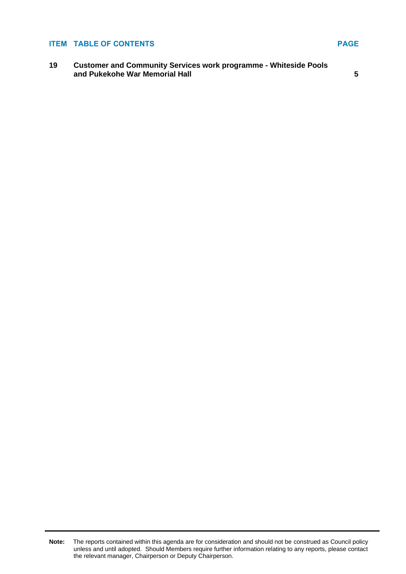#### **ITEM TABLE OF CONTENTS PAGE**

**19 Customer and Community Services work programme - Whiteside Pools and Pukekohe War Memorial Hall [5](#page-4-0)**

**Note:** The reports contained within this agenda are for consideration and should not be construed as Council policy unless and until adopted. Should Members require further information relating to any reports, please contact the relevant manager, Chairperson or Deputy Chairperson.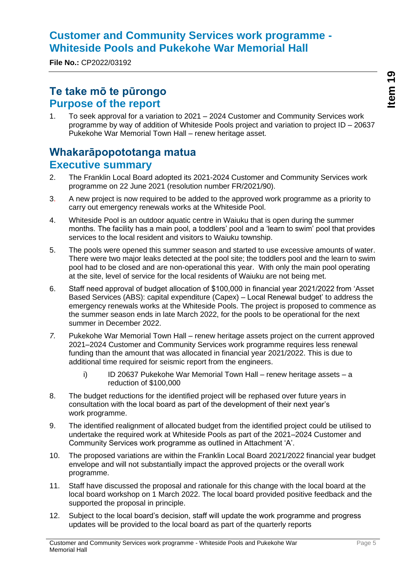## <span id="page-4-0"></span>**Customer and Community Services work programme - Whiteside Pools and Pukekohe War Memorial Hall**

**File No.:** CP2022/03192

## **Te take mō te pūrongo Purpose of the report**

1. To seek approval for a variation to 2021 – 2024 Customer and Community Services work programme by way of addition of Whiteside Pools project and variation to project ID – 20637 Pukekohe War Memorial Town Hall – renew heritage asset.

## **Whakarāpopototanga matua Executive summary**

- 2. The Franklin Local Board adopted its 2021-2024 Customer and Community Services work programme on 22 June 2021 (resolution number FR/2021/90).
- 3. A new project is now required to be added to the approved work programme as a priority to carry out emergency renewals works at the Whiteside Pool.
- 4. Whiteside Pool is an outdoor aquatic centre in Waiuku that is open during the summer months. The facility has a main pool, a toddlers' pool and a 'learn to swim' pool that provides services to the local resident and visitors to Waiuku township.
- 5. The pools were opened this summer season and started to use excessive amounts of water. There were two major leaks detected at the pool site; the toddlers pool and the learn to swim pool had to be closed and are non-operational this year. With only the main pool operating at the site, level of service for the local residents of Waiuku are not being met.
- 6. Staff need approval of budget allocation of \$100,000 in financial year 2021/2022 from 'Asset Based Services (ABS): capital expenditure (Capex) – Local Renewal budget' to address the emergency renewals works at the Whiteside Pools. The project is proposed to commence as the summer season ends in late March 2022, for the pools to be operational for the next summer in December 2022.
- *7.* Pukekohe War Memorial Town Hall renew heritage assets project on the current approved 2021–2024 Customer and Community Services work programme requires less renewal funding than the amount that was allocated in financial year 2021/2022. This is due to additional time required for seismic report from the engineers.
	- i) ID 20637 Pukekohe War Memorial Town Hall renew heritage assets a reduction of \$100,000
- 8. The budget reductions for the identified project will be rephased over future years in consultation with the local board as part of the development of their next year's work programme.
- 9. The identified realignment of allocated budget from the identified project could be utilised to undertake the required work at Whiteside Pools as part of the 2021–2024 Customer and Community Services work programme as outlined in Attachment 'A'.
- 10. The proposed variations are within the Franklin Local Board 2021/2022 financial year budget envelope and will not substantially impact the approved projects or the overall work programme.
- 11. Staff have discussed the proposal and rationale for this change with the local board at the local board workshop on 1 March 2022. The local board provided positive feedback and the supported the proposal in principle.
- 12. Subject to the local board's decision, staff will update the work programme and progress updates will be provided to the local board as part of the quarterly reports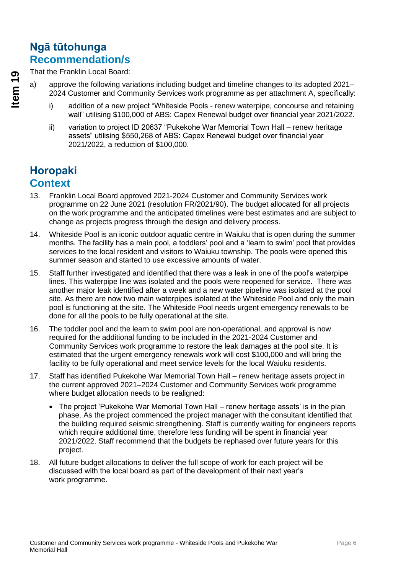## **Ngā tūtohunga Recommendation/s**

That the Franklin Local Board:

- a) approve the following variations including budget and timeline changes to its adopted 2021– 2024 Customer and Community Services work programme as per attachment A, specifically:
	- i) addition of a new project "Whiteside Pools renew waterpipe, concourse and retaining wall" utilising \$100,000 of ABS: Capex Renewal budget over financial year 2021/2022.
	- ii) variation to project ID 20637 "Pukekohe War Memorial Town Hall renew heritage assets" utilising \$550,268 of ABS: Capex Renewal budget over financial year 2021/2022, a reduction of \$100,000.

## **Horopaki Context**

- 13. Franklin Local Board approved 2021-2024 Customer and Community Services work programme on 22 June 2021 (resolution FR/2021/90). The budget allocated for all projects on the work programme and the anticipated timelines were best estimates and are subject to change as projects progress through the design and delivery process.
- 14. Whiteside Pool is an iconic outdoor aquatic centre in Waiuku that is open during the summer months. The facility has a main pool, a toddlers' pool and a 'learn to swim' pool that provides services to the local resident and visitors to Waiuku township. The pools were opened this summer season and started to use excessive amounts of water.
- 15. Staff further investigated and identified that there was a leak in one of the pool's waterpipe lines. This waterpipe line was isolated and the pools were reopened for service. There was another major leak identified after a week and a new water pipeline was isolated at the pool site. As there are now two main waterpipes isolated at the Whiteside Pool and only the main pool is functioning at the site. The Whiteside Pool needs urgent emergency renewals to be done for all the pools to be fully operational at the site.
- 16. The toddler pool and the learn to swim pool are non-operational, and approval is now required for the additional funding to be included in the 2021-2024 Customer and Community Services work programme to restore the leak damages at the pool site. It is estimated that the urgent emergency renewals work will cost \$100,000 and will bring the facility to be fully operational and meet service levels for the local Waiuku residents.
- 17. Staff has identified Pukekohe War Memorial Town Hall renew heritage assets project in the current approved 2021–2024 Customer and Community Services work programme where budget allocation needs to be realigned:
	- The project 'Pukekohe War Memorial Town Hall renew heritage assets' is in the plan phase. As the project commenced the project manager with the consultant identified that the building required seismic strengthening. Staff is currently waiting for engineers reports which require additional time, therefore less funding will be spent in financial year 2021/2022. Staff recommend that the budgets be rephased over future years for this project.
- 18. All future budget allocations to deliver the full scope of work for each project will be discussed with the local board as part of the development of their next year's work programme.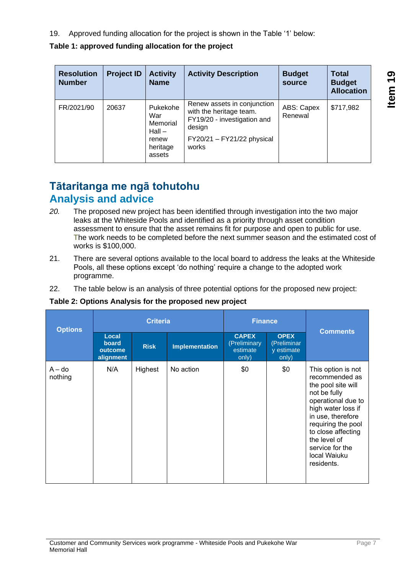19. Approved funding allocation for the project is shown in the Table '1' below:

**Table 1: approved funding allocation for the project**

| <b>Resolution</b><br><b>Number</b> | <b>Project ID</b> | <b>Activity</b><br><b>Name</b>                                         | <b>Activity Description</b>                                                                                                              | <b>Budget</b><br>source | <b>Total</b><br><b>Budget</b><br><b>Allocation</b> |
|------------------------------------|-------------------|------------------------------------------------------------------------|------------------------------------------------------------------------------------------------------------------------------------------|-------------------------|----------------------------------------------------|
| FR/2021/90                         | 20637             | Pukekohe<br>War<br>Memorial<br>$Hall -$<br>renew<br>heritage<br>assets | Renew assets in conjunction<br>with the heritage team.<br>FY19/20 - investigation and<br>design<br>$FY20/21 - FY21/22$ physical<br>works | ABS: Capex<br>Renewal   | \$717,982                                          |

## **Tātaritanga me ngā tohutohu Analysis and advice**

- *20.* The proposed new project has been identified through investigation into the two major leaks at the Whiteside Pools and identified as a priority through asset condition assessment to ensure that the asset remains fit for purpose and open to public for use. The work needs to be completed before the next summer season and the estimated cost of works is \$100,000.
- 21. There are several options available to the local board to address the leaks at the Whiteside Pools, all these options except 'do nothing' require a change to the adopted work programme.
- 22. The table below is an analysis of three potential options for the proposed new project:

#### **Table 2: Options Analysis for the proposed new project**

| <b>Options</b>      |                                        | <b>Criteria</b> |                       | <b>Finance</b>                                    |                                                   | <b>Comments</b>                                                                                                                                                                                                                                          |  |
|---------------------|----------------------------------------|-----------------|-----------------------|---------------------------------------------------|---------------------------------------------------|----------------------------------------------------------------------------------------------------------------------------------------------------------------------------------------------------------------------------------------------------------|--|
|                     | Local<br>board<br>outcome<br>alignment | <b>Risk</b>     | <b>Implementation</b> | <b>CAPEX</b><br>(Preliminary<br>estimate<br>only) | <b>OPEX</b><br>(Preliminar<br>y estimate<br>only) |                                                                                                                                                                                                                                                          |  |
| $A - do$<br>nothing | N/A                                    | Highest         | No action             | \$0                                               | \$0                                               | This option is not<br>recommended as<br>the pool site will<br>not be fully<br>operational due to<br>high water loss if<br>in use, therefore<br>requiring the pool<br>to close affecting<br>the level of<br>service for the<br>local Waiuku<br>residents. |  |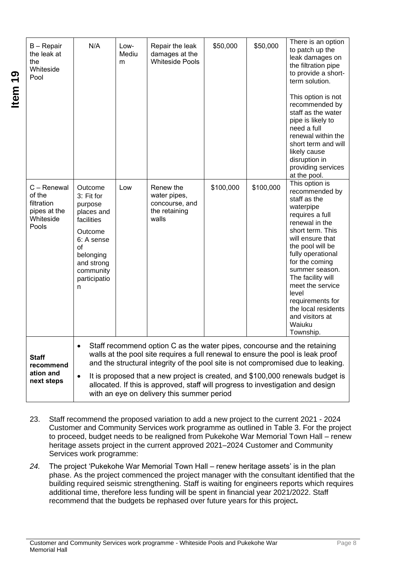| B - Repair<br>the leak at<br>the<br>Whiteside<br>Pool                     | N/A                                                                                                                                                      | Low-<br>Mediu<br>m | Repair the leak<br>damages at the<br><b>Whiteside Pools</b>                                                                                                                                                                                                                                  | \$50,000  | \$50,000  | There is an option<br>to patch up the<br>leak damages on<br>the filtration pipe<br>to provide a short-<br>term solution.<br>This option is not<br>recommended by<br>staff as the water<br>pipe is likely to<br>need a full<br>renewal within the<br>short term and will<br>likely cause<br>disruption in<br>providing services<br>at the pool.                 |
|---------------------------------------------------------------------------|----------------------------------------------------------------------------------------------------------------------------------------------------------|--------------------|----------------------------------------------------------------------------------------------------------------------------------------------------------------------------------------------------------------------------------------------------------------------------------------------|-----------|-----------|----------------------------------------------------------------------------------------------------------------------------------------------------------------------------------------------------------------------------------------------------------------------------------------------------------------------------------------------------------------|
| C - Renewal<br>of the<br>filtration<br>pipes at the<br>Whiteside<br>Pools | Outcome<br>3: Fit for<br>purpose<br>places and<br>facilities<br>Outcome<br>6: A sense<br>of<br>belonging<br>and strong<br>community<br>participatio<br>n | Low                | Renew the<br>water pipes,<br>concourse, and<br>the retaining<br>walls                                                                                                                                                                                                                        | \$100,000 | \$100,000 | This option is<br>recommended by<br>staff as the<br>waterpipe<br>requires a full<br>renewal in the<br>short term. This<br>will ensure that<br>the pool will be<br>fully operational<br>for the coming<br>summer season.<br>The facility will<br>meet the service<br>level<br>requirements for<br>the local residents<br>and visitors at<br>Waiuku<br>Township. |
| <b>Staff</b><br>recommend<br>ation and<br>next steps                      | $\bullet$                                                                                                                                                |                    | Staff recommend option C as the water pipes, concourse and the retaining<br>walls at the pool site requires a full renewal to ensure the pool is leak proof<br>allocated. If this is approved, staff will progress to investigation and design<br>with an eye on delivery this summer period |           |           | and the structural integrity of the pool site is not compromised due to leaking.<br>It is proposed that a new project is created, and \$100,000 renewals budget is                                                                                                                                                                                             |

**Item 19**

- 23. Staff recommend the proposed variation to add a new project to the current 2021 2024 Customer and Community Services work programme as outlined in Table 3. For the project to proceed, budget needs to be realigned from Pukekohe War Memorial Town Hall – renew heritage assets project in the current approved 2021–2024 Customer and Community Services work programme:
- *24.* The project 'Pukekohe War Memorial Town Hall renew heritage assets' is in the plan phase. As the project commenced the project manager with the consultant identified that the building required seismic strengthening. Staff is waiting for engineers reports which requires additional time, therefore less funding will be spent in financial year 2021/2022. Staff recommend that the budgets be rephased over future years for this project**.**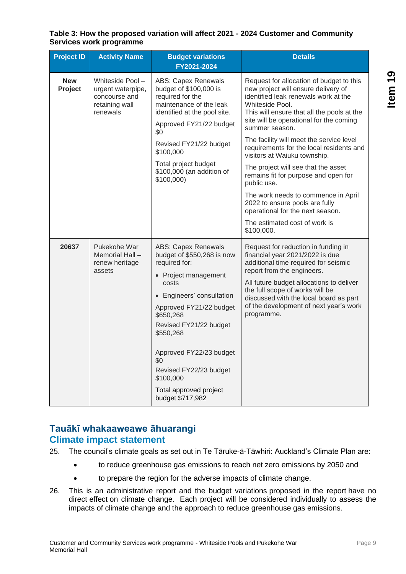| <b>Project ID</b>     | <b>Activity Name</b>                                                                 | <b>Budget variations</b><br>FY2021-2024                                                                                                                                                                                                                                                                                                                  | <b>Details</b>                                                                                                                                                                                                                                                                                                                                                                                                                                                                                                                                                                                                                          |
|-----------------------|--------------------------------------------------------------------------------------|----------------------------------------------------------------------------------------------------------------------------------------------------------------------------------------------------------------------------------------------------------------------------------------------------------------------------------------------------------|-----------------------------------------------------------------------------------------------------------------------------------------------------------------------------------------------------------------------------------------------------------------------------------------------------------------------------------------------------------------------------------------------------------------------------------------------------------------------------------------------------------------------------------------------------------------------------------------------------------------------------------------|
| <b>New</b><br>Project | Whiteside Pool -<br>urgent waterpipe,<br>concourse and<br>retaining wall<br>renewals | <b>ABS: Capex Renewals</b><br>budget of \$100,000 is<br>required for the<br>maintenance of the leak<br>identified at the pool site.<br>Approved FY21/22 budget<br>\$0<br>Revised FY21/22 budget<br>\$100,000<br>Total project budget<br>\$100,000 (an addition of<br>\$100,000)                                                                          | Request for allocation of budget to this<br>new project will ensure delivery of<br>identified leak renewals work at the<br>Whiteside Pool.<br>This will ensure that all the pools at the<br>site will be operational for the coming<br>summer season.<br>The facility will meet the service level<br>requirements for the local residents and<br>visitors at Waiuku township.<br>The project will see that the asset<br>remains fit for purpose and open for<br>public use.<br>The work needs to commence in April<br>2022 to ensure pools are fully<br>operational for the next season.<br>The estimated cost of work is<br>\$100,000. |
| 20637                 | Pukekohe War<br>Memorial Hall -<br>renew heritage<br>assets                          | <b>ABS: Capex Renewals</b><br>budget of \$550,268 is now<br>required for:<br>• Project management<br>costs<br>Engineers' consultation<br>$\bullet$<br>Approved FY21/22 budget<br>\$650,268<br>Revised FY21/22 budget<br>\$550,268<br>Approved FY22/23 budget<br>\$0<br>Revised FY22/23 budget<br>\$100,000<br>Total approved project<br>budget \$717,982 | Request for reduction in funding in<br>financial year 2021/2022 is due<br>additional time required for seismic<br>report from the engineers.<br>All future budget allocations to deliver<br>the full scope of works will be<br>discussed with the local board as part<br>of the development of next year's work<br>programme.                                                                                                                                                                                                                                                                                                           |

#### **Table 3: How the proposed variation will affect 2021 - 2024 Customer and Community Services work programme**

## **Tauākī whakaaweawe āhuarangi Climate impact statement**

- 25. The council's climate goals as set out in Te Tāruke-ā-Tāwhiri: Auckland's Climate Plan are:
	- to reduce greenhouse gas emissions to reach net zero emissions by 2050 and
	- to prepare the region for the adverse impacts of climate change.
- 26. This is an administrative report and the budget variations proposed in the report have no direct effect on climate change. Each project will be considered individually to assess the impacts of climate change and the approach to reduce greenhouse gas emissions.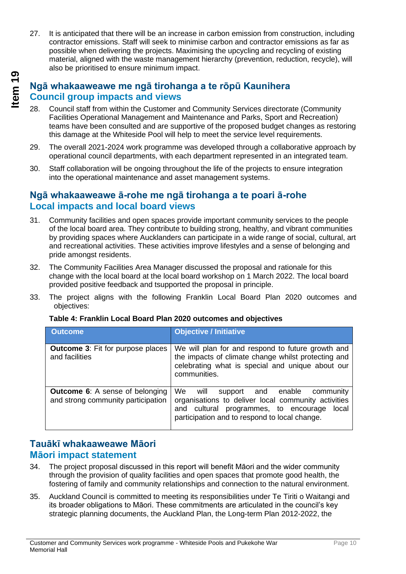27. It is anticipated that there will be an increase in carbon emission from construction, including contractor emissions. Staff will seek to minimise carbon and contractor emissions as far as possible when delivering the projects. Maximising the upcycling and recycling of existing material, aligned with the waste management hierarchy (prevention, reduction, recycle), will also be prioritised to ensure minimum impact.

## **Ngā whakaaweawe me ngā tirohanga a te rōpū Kaunihera Council group impacts and views**

- 28. Council staff from within the Customer and Community Services directorate (Community Facilities Operational Management and Maintenance and Parks, Sport and Recreation) teams have been consulted and are supportive of the proposed budget changes as restoring this damage at the Whiteside Pool will help to meet the service level requirements.
- 29. The overall 2021-2024 work programme was developed through a collaborative approach by operational council departments, with each department represented in an integrated team.
- 30. Staff collaboration will be ongoing throughout the life of the projects to ensure integration into the operational maintenance and asset management systems.

## **Ngā whakaaweawe ā-rohe me ngā tirohanga a te poari ā-rohe Local impacts and local board views**

- 31. Community facilities and open spaces provide important community services to the people of the local board area. They contribute to building strong, healthy, and vibrant communities by providing spaces where Aucklanders can participate in a wide range of social, cultural, art and recreational activities. These activities improve lifestyles and a sense of belonging and pride amongst residents.
- 32. The Community Facilities Area Manager discussed the proposal and rationale for this change with the local board at the local board workshop on 1 March 2022. The local board provided positive feedback and tsupported the proposal in principle.
- 33. The project aligns with the following Franklin Local Board Plan 2020 outcomes and objectives:

| <b>Outcome</b>                                                               | <b>Objective / Initiative</b>                                                                                                                                                                        |
|------------------------------------------------------------------------------|------------------------------------------------------------------------------------------------------------------------------------------------------------------------------------------------------|
| <b>Outcome 3: Fit for purpose places</b><br>and facilities                   | We will plan for and respond to future growth and<br>the impacts of climate change whilst protecting and<br>celebrating what is special and unique about our<br>communities.                         |
| <b>Outcome 6:</b> A sense of belonging<br>and strong community participation | We<br>support and enable community<br>will<br>organisations to deliver local community activities<br>and cultural programmes, to encourage<br>local<br>participation and to respond to local change. |

### **Table 4: Franklin Local Board Plan 2020 outcomes and objectives**

## **Tauākī whakaaweawe Māori Māori impact statement**

- 34. The project proposal discussed in this report will benefit Māori and the wider community through the provision of quality facilities and open spaces that promote good health, the fostering of family and community relationships and connection to the natural environment.
- 35. Auckland Council is committed to meeting its responsibilities under Te Tiriti o Waitangi and its broader obligations to Māori. These commitments are articulated in the council's key strategic planning documents, the Auckland Plan, the Long-term Plan 2012-2022, the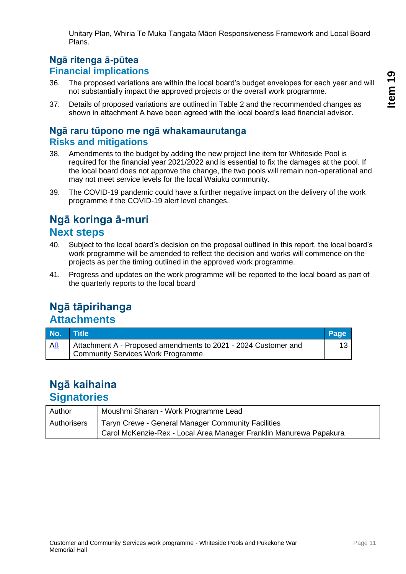Unitary Plan, Whiria Te Muka Tangata Māori Responsiveness Framework and Local Board Plans.

## **Ngā ritenga ā-pūtea Financial implications**

- 36. The proposed variations are within the local board's budget envelopes for each year and will not substantially impact the approved projects or the overall work programme.
- 37. Details of proposed variations are outlined in Table 2 and the recommended changes as shown in attachment A have been agreed with the local board's lead financial advisor.

## **Ngā raru tūpono me ngā whakamaurutanga Risks and mitigations**

- 38. Amendments to the budget by adding the new project line item for Whiteside Pool is required for the financial year 2021/2022 and is essential to fix the damages at the pool. If the local board does not approve the change, the two pools will remain non-operational and may not meet service levels for the local Waiuku community.
- 39. The COVID-19 pandemic could have a further negative impact on the delivery of the work programme if the COVID-19 alert level changes.

## **Ngā koringa ā-muri Next steps**

- 40. Subject to the local board's decision on the proposal outlined in this report, the local board's work programme will be amended to reflect the decision and works will commence on the projects as per the timing outlined in the approved work programme.
- 41. Progress and updates on the work programme will be reported to the local board as part of the quarterly reports to the local board

## **Ngā tāpirihanga Attachments**

| No. | <b>Title</b>                                                                                               | Page |
|-----|------------------------------------------------------------------------------------------------------------|------|
| АIJ | Attachment A - Proposed amendments to 2021 - 2024 Customer and<br><b>Community Services Work Programme</b> |      |

## **Ngā kaihaina Signatories**

| Author      | Moushmi Sharan - Work Programme Lead                               |
|-------------|--------------------------------------------------------------------|
| Authorisers | Taryn Crewe - General Manager Community Facilities                 |
|             | Carol McKenzie-Rex - Local Area Manager Franklin Manurewa Papakura |